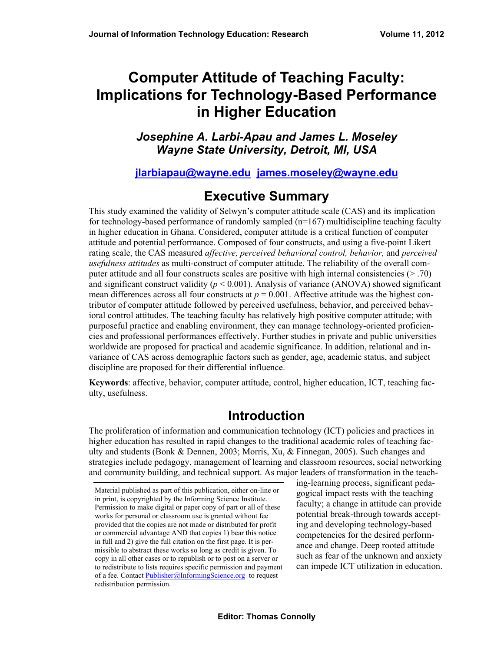# **Computer Attitude of Teaching Faculty: Implications for Technology-Based Performance in Higher Education**

*Josephine A. Larbi-Apau and James L. Moseley Wayne State University, Detroit, MI, USA* 

#### **[jlarbiapau@wayne.edu](mailto:jlarbiapau@wayne.edu) [james.moseley@wayne.edu](mailto:james.moseley@wayne.edu)**

### **Executive Summary**

This study examined the validity of Selwyn's computer attitude scale (CAS) and its implication for technology-based performance of randomly sampled  $(n=167)$  multidiscipline teaching faculty in higher education in Ghana. Considered, computer attitude is a critical function of computer attitude and potential performance. Composed of four constructs, and using a five-point Likert rating scale, the CAS measured *affective, perceived behavioral control, behavior,* and *perceived usefulness attitudes* as multi-construct of computer attitude. The reliability of the overall computer attitude and all four constructs scales are positive with high internal consistencies  $(> .70)$ and significant construct validity ( $p < 0.001$ ). Analysis of variance (ANOVA) showed significant mean differences across all four constructs at  $p = 0.001$ . Affective attitude was the highest contributor of computer attitude followed by perceived usefulness, behavior, and perceived behavioral control attitudes. The teaching faculty has relatively high positive computer attitude; with purposeful practice and enabling environment, they can manage technology-oriented proficiencies and professional performances effectively. Further studies in private and public universities worldwide are proposed for practical and academic significance. In addition, relational and invariance of CAS across demographic factors such as gender, age, academic status, and subject discipline are proposed for their differential influence.

**Keywords**: affective, behavior, computer attitude, control, higher education, ICT, teaching faculty, usefulness.

### **Introduction**

The proliferation of information and communication technology (ICT) policies and practices in higher education has resulted in rapid changes to the traditional academic roles of teaching faculty and students (Bonk & Dennen, 2003; Morris, Xu, & Finnegan, 2005). Such changes and strategies include pedagogy, management of learning and classroom resources, social networking and community building, and technical support. As major leaders of transformation in the teach-

ing-learning process, significant pedagogical impact rests with the teaching faculty; a change in attitude can provide potential break-through towards accepting and developing technology-based competencies for the desired performance and change. Deep rooted attitude such as fear of the unknown and anxiety can impede ICT utilization in education.

Material published as part of this publication, either on-line or in print, is copyrighted by the Informing Science Institute. Permission to make digital or paper copy of part or all of these works for personal or classroom use is granted without fee provided that the copies are not made or distributed for profit or commercial advantage AND that copies 1) bear this notice in full and 2) give the full citation on the first page. It is permissible to abstract these works so long as credit is given. To copy in all other cases or to republish or to post on a server or to redistribute to lists requires specific permission and payment of a fee. Contact [Publisher@InformingScience.org](mailto:Publisher@InformingScience.org) to request redistribution permission.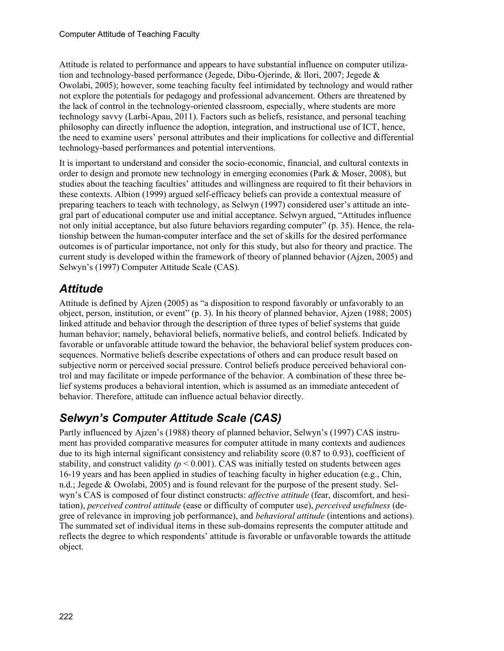Attitude is related to performance and appears to have substantial influence on computer utilization and technology-based performance (Jegede, Dibu-Ojerinde, & llori, 2007; Jegede & Owolabi, 2005); however, some teaching faculty feel intimidated by technology and would rather not explore the potentials for pedagogy and professional advancement. Others are threatened by the lack of control in the technology-oriented classroom, especially, where students are more technology savvy (Larbi-Apau, 2011). Factors such as beliefs, resistance, and personal teaching philosophy can directly influence the adoption, integration, and instructional use of ICT, hence, the need to examine users' personal attributes and their implications for collective and differential technology-based performances and potential interventions.

It is important to understand and consider the socio-economic, financial, and cultural contexts in order to design and promote new technology in emerging economies (Park & Moser, 2008), but studies about the teaching faculties' attitudes and willingness are required to fit their behaviors in these contexts. Albion (1999) argued self-efficacy beliefs can provide a contextual measure of preparing teachers to teach with technology, as Selwyn (1997) considered user's attitude an integral part of educational computer use and initial acceptance. Selwyn argued, "Attitudes influence not only initial acceptance, but also future behaviors regarding computer" (p. 35). Hence, the relationship between the human-computer interface and the set of skills for the desired performance outcomes is of particular importance, not only for this study, but also for theory and practice. The current study is developed within the framework of theory of planned behavior (Ajzen, 2005) and Selwyn's (1997) Computer Attitude Scale (CAS).

## *Attitude*

Attitude is defined by Ajzen (2005) as "a disposition to respond favorably or unfavorably to an object, person, institution, or event" (p. 3). In his theory of planned behavior, Ajzen (1988; 2005) linked attitude and behavior through the description of three types of belief systems that guide human behavior; namely, behavioral beliefs, normative beliefs, and control beliefs. Indicated by favorable or unfavorable attitude toward the behavior, the behavioral belief system produces consequences. Normative beliefs describe expectations of others and can produce result based on subjective norm or perceived social pressure. Control beliefs produce perceived behavioral control and may facilitate or impede performance of the behavior. A combination of these three belief systems produces a behavioral intention, which is assumed as an immediate antecedent of behavior. Therefore, attitude can influence actual behavior directly.

## *Selwyn's Computer Attitude Scale (CAS)*

Partly influenced by Ajzen's (1988) theory of planned behavior, Selwyn's (1997) CAS instrument has provided comparative measures for computer attitude in many contexts and audiences due to its high internal significant consistency and reliability score (0.87 to 0.93), coefficient of stability, and construct validity  $(p < 0.001)$ . CAS was initially tested on students between ages 16-19 years and has been applied in studies of teaching faculty in higher education (e.g., Chin, n.d.; Jegede & Owolabi, 2005) and is found relevant for the purpose of the present study. Selwyn's CAS is composed of four distinct constructs: *affective attitude* (fear, discomfort, and hesitation), *perceived control attitude* (ease or difficulty of computer use), *perceived usefulness* (degree of relevance in improving job performance), and *behavioral attitude* (intentions and actions). The summated set of individual items in these sub-domains represents the computer attitude and reflects the degree to which respondents' attitude is favorable or unfavorable towards the attitude object.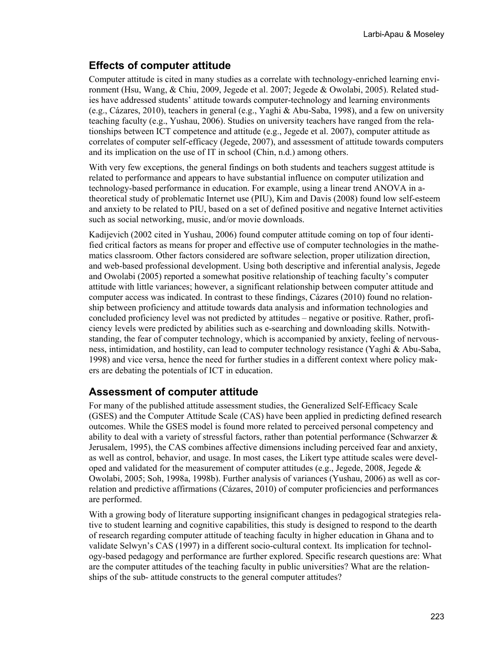#### **Effects of computer attitude**

Computer attitude is cited in many studies as a correlate with technology-enriched learning environment (Hsu, Wang, & Chiu, 2009, Jegede et al. 2007; Jegede & Owolabi, 2005). Related studies have addressed students' attitude towards computer-technology and learning environments (e.g., Cázares, 2010), teachers in general (e.g., Yaghi & Abu-Saba, 1998), and a few on university teaching faculty (e.g., Yushau, 2006). Studies on university teachers have ranged from the relationships between ICT competence and attitude (e.g., Jegede et al. 2007), computer attitude as correlates of computer self-efficacy (Jegede, 2007), and assessment of attitude towards computers and its implication on the use of IT in school (Chin, n.d.) among others.

With very few exceptions, the general findings on both students and teachers suggest attitude is related to performance and appears to have substantial influence on computer utilization and technology-based performance in education. For example, using a linear trend ANOVA in atheoretical study of problematic Internet use (PIU), Kim and Davis (2008) found low self-esteem and anxiety to be related to PIU, based on a set of defined positive and negative Internet activities such as social networking, music, and/or movie downloads.

Kadijevich (2002 cited in Yushau, 2006) found computer attitude coming on top of four identified critical factors as means for proper and effective use of computer technologies in the mathematics classroom. Other factors considered are software selection, proper utilization direction, and web-based professional development. Using both descriptive and inferential analysis, Jegede and Owolabi (2005) reported a somewhat positive relationship of teaching faculty's computer attitude with little variances; however, a significant relationship between computer attitude and computer access was indicated. In contrast to these findings, Cázares (2010) found no relationship between proficiency and attitude towards data analysis and information technologies and concluded proficiency level was not predicted by attitudes – negative or positive. Rather, proficiency levels were predicted by abilities such as e-searching and downloading skills. Notwithstanding, the fear of computer technology, which is accompanied by anxiety, feeling of nervousness, intimidation, and hostility, can lead to computer technology resistance (Yaghi & Abu-Saba, 1998) and vice versa, hence the need for further studies in a different context where policy makers are debating the potentials of ICT in education.

#### **Assessment of computer attitude**

For many of the published attitude assessment studies, the Generalized Self-Efficacy Scale (GSES) and the Computer Attitude Scale (CAS) have been applied in predicting defined research outcomes. While the GSES model is found more related to perceived personal competency and ability to deal with a variety of stressful factors, rather than potential performance (Schwarzer  $\&$ Jerusalem, 1995), the CAS combines affective dimensions including perceived fear and anxiety, as well as control, behavior, and usage. In most cases, the Likert type attitude scales were developed and validated for the measurement of computer attitudes (e.g., Jegede, 2008, Jegede  $\&$ Owolabi, 2005; Soh, 1998a, 1998b). Further analysis of variances (Yushau, 2006) as well as correlation and predictive affirmations (Cázares, 2010) of computer proficiencies and performances are performed.

With a growing body of literature supporting insignificant changes in pedagogical strategies relative to student learning and cognitive capabilities, this study is designed to respond to the dearth of research regarding computer attitude of teaching faculty in higher education in Ghana and to validate Selwyn's CAS (1997) in a different socio-cultural context. Its implication for technology-based pedagogy and performance are further explored. Specific research questions are: What are the computer attitudes of the teaching faculty in public universities? What are the relationships of the sub- attitude constructs to the general computer attitudes?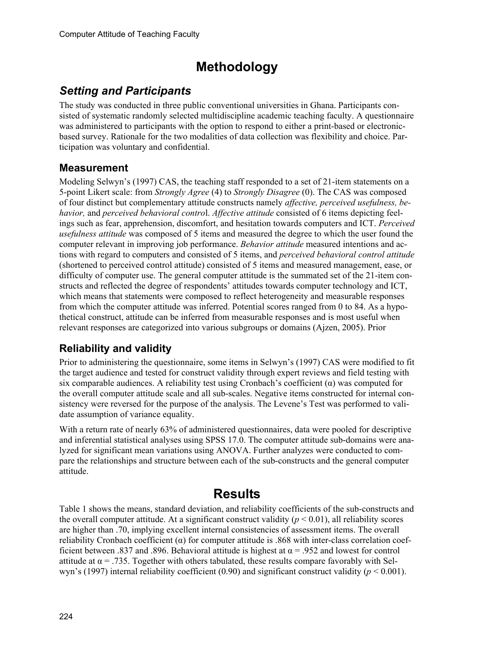# **Methodology**

### *Setting and Participants*

The study was conducted in three public conventional universities in Ghana. Participants consisted of systematic randomly selected multidiscipline academic teaching faculty. A questionnaire was administered to participants with the option to respond to either a print-based or electronicbased survey. Rationale for the two modalities of data collection was flexibility and choice. Participation was voluntary and confidential.

#### **Measurement**

Modeling Selwyn's (1997) CAS, the teaching staff responded to a set of 21-item statements on a 5-point Likert scale: from *Strongly Agree* (4) to *Strongly Disagree* (0). The CAS was composed of four distinct but complementary attitude constructs namely *affective, perceived usefulness, behavior,* and *perceived behavioral contro*l. *Affective attitude* consisted of 6 items depicting feelings such as fear, apprehension, discomfort, and hesitation towards computers and ICT. *Perceived usefulness attitude* was composed of 5 items and measured the degree to which the user found the computer relevant in improving job performance. *Behavior attitude* measured intentions and actions with regard to computers and consisted of 5 items, and *perceived behavioral control attitude*  (shortened to perceived control attitude) consisted of 5 items and measured management, ease, or difficulty of computer use. The general computer attitude is the summated set of the 21-item constructs and reflected the degree of respondents' attitudes towards computer technology and ICT, which means that statements were composed to reflect heterogeneity and measurable responses from which the computer attitude was inferred. Potential scores ranged from 0 to 84. As a hypothetical construct, attitude can be inferred from measurable responses and is most useful when relevant responses are categorized into various subgroups or domains (Ajzen, 2005). Prior

### **Reliability and validity**

Prior to administering the questionnaire, some items in Selwyn's (1997) CAS were modified to fit the target audience and tested for construct validity through expert reviews and field testing with six comparable audiences. A reliability test using Cronbach's coefficient  $(\alpha)$  was computed for the overall computer attitude scale and all sub-scales. Negative items constructed for internal consistency were reversed for the purpose of the analysis. The Levene's Test was performed to validate assumption of variance equality.

With a return rate of nearly 63% of administered questionnaires, data were pooled for descriptive and inferential statistical analyses using SPSS 17.0. The computer attitude sub-domains were analyzed for significant mean variations using ANOVA. Further analyzes were conducted to compare the relationships and structure between each of the sub-constructs and the general computer attitude.

## **Results**

Table 1 shows the means, standard deviation, and reliability coefficients of the sub-constructs and the overall computer attitude. At a significant construct validity  $(p < 0.01)$ , all reliability scores are higher than .70, implying excellent internal consistencies of assessment items. The overall reliability Cronbach coefficient  $(\alpha)$  for computer attitude is .868 with inter-class correlation coefficient between .837 and .896. Behavioral attitude is highest at  $\alpha$  = .952 and lowest for control attitude at  $\alpha$  = .735. Together with others tabulated, these results compare favorably with Selwyn's (1997) internal reliability coefficient (0.90) and significant construct validity ( $p < 0.001$ ).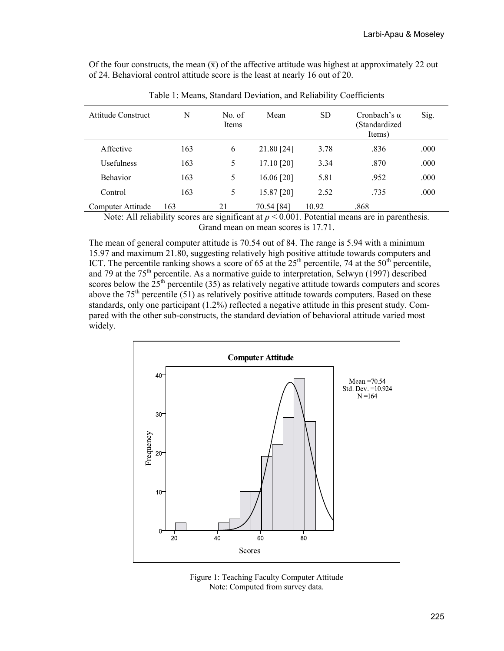Of the four constructs, the mean  $(\bar{x})$  of the affective attitude was highest at approximately 22 out of 24. Behavioral control attitude score is the least at nearly 16 out of 20.

| <b>Attitude Construct</b> | N   | No. of<br>Items | Mean       | <b>SD</b> | Cronbach's $\alpha$<br>(Standardized<br>Items) | Sig. |
|---------------------------|-----|-----------------|------------|-----------|------------------------------------------------|------|
| Affective                 | 163 | 6               | 21.80 [24] | 3.78      | .836                                           | .000 |
| <b>Usefulness</b>         | 163 | 5               | 17.10 [20] | 3.34      | .870                                           | .000 |
| <b>Behavior</b>           | 163 | 5               | 16.06 [20] | 5.81      | .952                                           | .000 |
| Control                   | 163 | 5               | 15.87 [20] | 2.52      | .735                                           | .000 |
| Computer Attitude         | 163 | 21              | 70.54 [84] | 10.92     | .868                                           |      |

Table 1: Means, Standard Deviation, and Reliability Coefficients

Note: All reliability scores are significant at  $p \le 0.001$ . Potential means are in parenthesis. Grand mean on mean scores is 17.71.

The mean of general computer attitude is 70.54 out of 84. The range is 5.94 with a minimum 15.97 and maximum 21.80, suggesting relatively high positive attitude towards computers and ICT. The percentile ranking shows a score of 65 at the  $25<sup>th</sup>$  percentile, 74 at the  $50<sup>th</sup>$  percentile, and 79 at the 75<sup>th</sup> percentile. As a normative guide to interpretation, Selwyn (1997) described scores below the  $25<sup>th</sup>$  percentile (35) as relatively negative attitude towards computers and scores above the  $75<sup>th</sup>$  percentile (51) as relatively positive attitude towards computers. Based on these standards, only one participant (1.2%) reflected a negative attitude in this present study. Compared with the other sub-constructs, the standard deviation of behavioral attitude varied most widely.



Figure 1: Teaching Faculty Computer Attitude Note: Computed from survey data.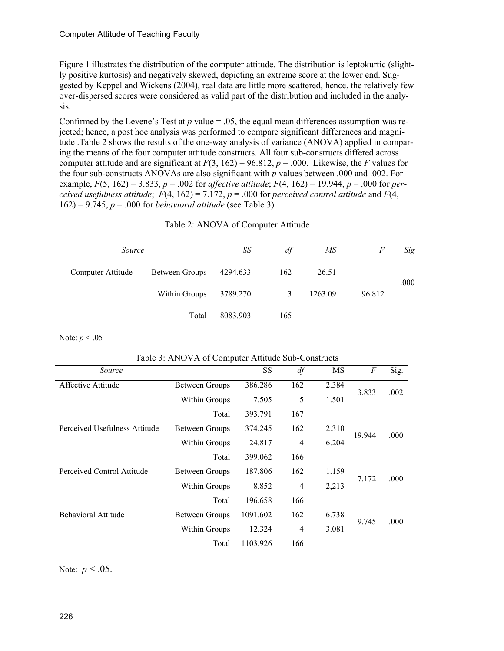Figure 1 illustrates the distribution of the computer attitude. The distribution is leptokurtic (slightly positive kurtosis) and negatively skewed, depicting an extreme score at the lower end. Suggested by Keppel and Wickens (2004), real data are little more scattered, hence, the relatively few over-dispersed scores were considered as valid part of the distribution and included in the analysis.

Confirmed by the Levene's Test at  $p$  value = .05, the equal mean differences assumption was rejected; hence, a post hoc analysis was performed to compare significant differences and magnitude .Table 2 shows the results of the one-way analysis of variance (ANOVA) applied in comparing the means of the four computer attitude constructs. All four sub-constructs differed across computer attitude and are significant at  $F(3, 162) = 96.812$ ,  $p = .000$ . Likewise, the *F* values for the four sub-constructs ANOVAs are also significant with *p* values between .000 and .002. For example,  $F(5, 162) = 3.833$ ,  $p = .002$  for *affective attitude*;  $F(4, 162) = 19.944$ ,  $p = .000$  for *perceived usefulness attitude*;  $F(4, 162) = 7.172$ ,  $p = .000$  for *perceived control attitude* and  $F(4, 162) = 7.172$ 162) = 9.745, *p* = .000 for *behavioral attitude* (see Table 3).

| Source |                   |                | SS       | df  | МS      | F      | Sig  |
|--------|-------------------|----------------|----------|-----|---------|--------|------|
|        | Computer Attitude | Between Groups | 4294.633 | 162 | 26.51   |        | .000 |
|        |                   | Within Groups  | 3789.270 | 3   | 1263.09 | 96.812 |      |
|        |                   | Total          | 8083.903 | 165 |         |        |      |

Table 2: ANOVA of Computer Attitude

Note: *p* < .05

#### Table 3: ANOVA of Computer Attitude Sub-Constructs

| Source                        |                | <b>SS</b> | df             | MS    | F      | Sig. |
|-------------------------------|----------------|-----------|----------------|-------|--------|------|
| Affective Attitude            | Between Groups | 386.286   | 162            | 2.384 | 3.833  | .002 |
|                               | Within Groups  | 7.505     | 5              | 1.501 |        |      |
|                               | Total          | 393.791   | 167            |       |        |      |
| Perceived Usefulness Attitude | Between Groups | 374.245   | 162            | 2.310 | 19.944 | .000 |
|                               | Within Groups  | 24.817    | 4              | 6.204 |        |      |
|                               | Total          | 399.062   | 166            |       |        |      |
| Perceived Control Attitude    | Between Groups | 187.806   | 162            | 1.159 | 7.172  | .000 |
|                               | Within Groups  | 8.852     | 4              | 2,213 |        |      |
|                               | Total          | 196.658   | 166            |       |        |      |
| <b>Behavioral Attitude</b>    | Between Groups | 1091.602  | 162            | 6.738 |        | .000 |
|                               | Within Groups  | 12.324    | $\overline{4}$ | 3.081 | 9.745  |      |
|                               | Total          | 1103.926  | 166            |       |        |      |
|                               |                |           |                |       |        |      |

Note:  $p < .05$ .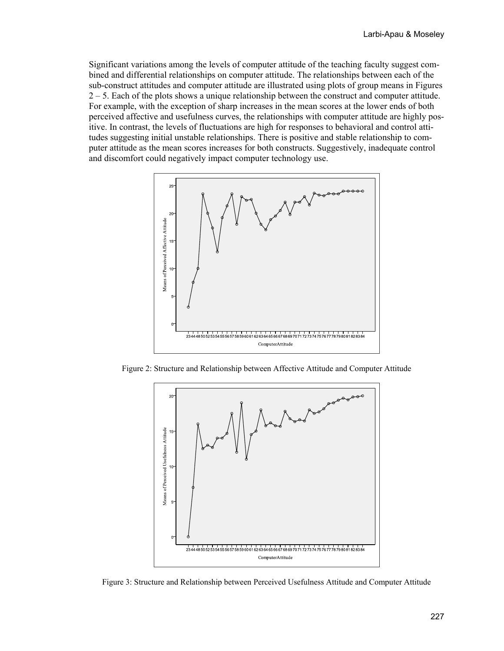Significant variations among the levels of computer attitude of the teaching faculty suggest combined and differential relationships on computer attitude. The relationships between each of the sub-construct attitudes and computer attitude are illustrated using plots of group means in Figures  $2 - 5$ . Each of the plots shows a unique relationship between the construct and computer attitude. For example, with the exception of sharp increases in the mean scores at the lower ends of both perceived affective and usefulness curves, the relationships with computer attitude are highly positive. In contrast, the levels of fluctuations are high for responses to behavioral and control attitudes suggesting initial unstable relationships. There is positive and stable relationship to computer attitude as the mean scores increases for both constructs. Suggestively, inadequate control and discomfort could negatively impact computer technology use.



Figure 2: Structure and Relationship between Affective Attitude and Computer Attitude



Figure 3: Structure and Relationship between Perceived Usefulness Attitude and Computer Attitude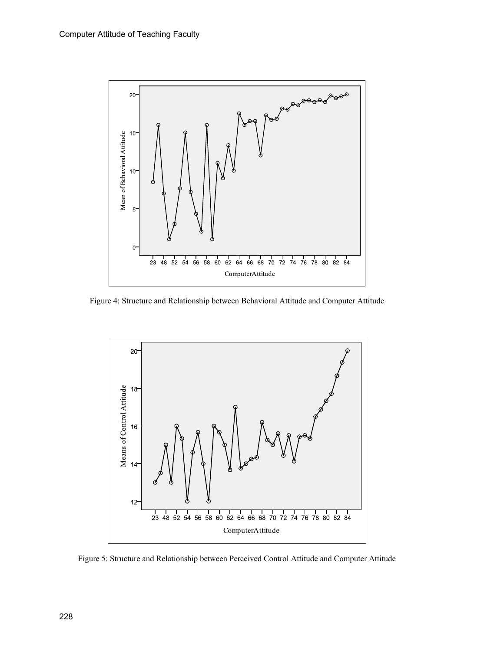

Figure 4: Structure and Relationship between Behavioral Attitude and Computer Attitude



Figure 5: Structure and Relationship between Perceived Control Attitude and Computer Attitude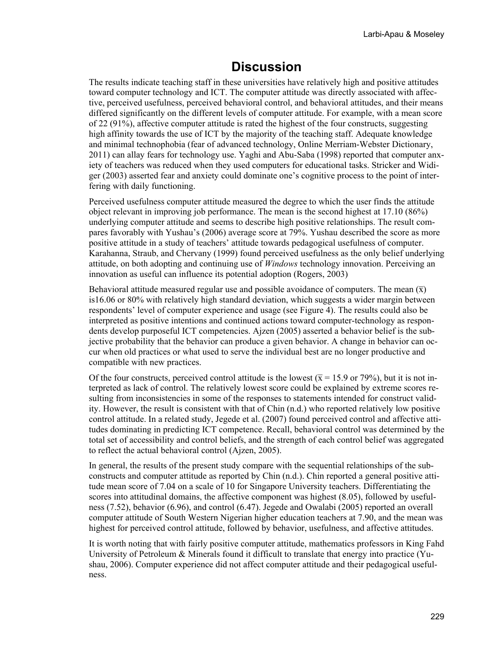### **Discussion**

The results indicate teaching staff in these universities have relatively high and positive attitudes toward computer technology and ICT. The computer attitude was directly associated with affective, perceived usefulness, perceived behavioral control, and behavioral attitudes, and their means differed significantly on the different levels of computer attitude. For example, with a mean score of 22 (91%), affective computer attitude is rated the highest of the four constructs, suggesting high affinity towards the use of ICT by the majority of the teaching staff. Adequate knowledge and minimal technophobia (fear of advanced technology, Online Merriam-Webster Dictionary, 2011) can allay fears for technology use. Yaghi and Abu-Saba (1998) reported that computer anxiety of teachers was reduced when they used computers for educational tasks. Stricker and Widiger (2003) asserted fear and anxiety could dominate one's cognitive process to the point of interfering with daily functioning.

Perceived usefulness computer attitude measured the degree to which the user finds the attitude object relevant in improving job performance. The mean is the second highest at 17.10 (86%) underlying computer attitude and seems to describe high positive relationships. The result compares favorably with Yushau's (2006) average score at 79%. Yushau described the score as more positive attitude in a study of teachers' attitude towards pedagogical usefulness of computer. Karahanna, Straub, and Chervany (1999) found perceived usefulness as the only belief underlying attitude, on both adopting and continuing use of *Windows* technology innovation. Perceiving an innovation as useful can influence its potential adoption (Rogers, 2003)

Behavioral attitude measured regular use and possible avoidance of computers. The mean  $(\bar{x})$ is16.06 or 80% with relatively high standard deviation, which suggests a wider margin between respondents' level of computer experience and usage (see Figure 4). The results could also be interpreted as positive intentions and continued actions toward computer-technology as respondents develop purposeful ICT competencies. Ajzen (2005) asserted a behavior belief is the subjective probability that the behavior can produce a given behavior. A change in behavior can occur when old practices or what used to serve the individual best are no longer productive and compatible with new practices.

Of the four constructs, perceived control attitude is the lowest ( $\bar{x}$  = 15.9 or 79%), but it is not interpreted as lack of control. The relatively lowest score could be explained by extreme scores resulting from inconsistencies in some of the responses to statements intended for construct validity. However, the result is consistent with that of Chin (n.d.) who reported relatively low positive control attitude. In a related study, Jegede et al. (2007) found perceived control and affective attitudes dominating in predicting ICT competence. Recall, behavioral control was determined by the total set of accessibility and control beliefs, and the strength of each control belief was aggregated to reflect the actual behavioral control (Ajzen, 2005).

In general, the results of the present study compare with the sequential relationships of the subconstructs and computer attitude as reported by Chin (n.d.). Chin reported a general positive attitude mean score of 7.04 on a scale of 10 for Singapore University teachers. Differentiating the scores into attitudinal domains, the affective component was highest (8.05), followed by usefulness (7.52), behavior (6.96), and control (6.47). Jegede and Owalabi (2005) reported an overall computer attitude of South Western Nigerian higher education teachers at 7.90, and the mean was highest for perceived control attitude, followed by behavior, usefulness, and affective attitudes.

It is worth noting that with fairly positive computer attitude, mathematics professors in King Fahd University of Petroleum & Minerals found it difficult to translate that energy into practice (Yushau, 2006). Computer experience did not affect computer attitude and their pedagogical usefulness.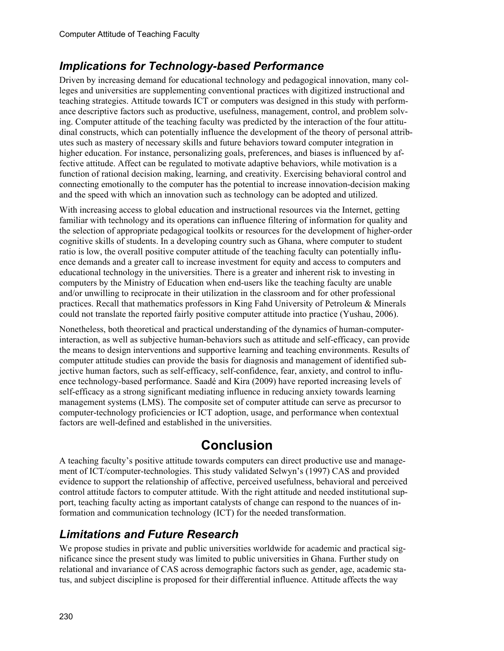### *Implications for Technology-based Performance*

Driven by increasing demand for educational technology and pedagogical innovation, many colleges and universities are supplementing conventional practices with digitized instructional and teaching strategies. Attitude towards ICT or computers was designed in this study with performance descriptive factors such as productive, usefulness, management, control, and problem solving. Computer attitude of the teaching faculty was predicted by the interaction of the four attitudinal constructs, which can potentially influence the development of the theory of personal attributes such as mastery of necessary skills and future behaviors toward computer integration in higher education. For instance, personalizing goals, preferences, and biases is influenced by affective attitude. Affect can be regulated to motivate adaptive behaviors, while motivation is a function of rational decision making, learning, and creativity. Exercising behavioral control and connecting emotionally to the computer has the potential to increase innovation-decision making and the speed with which an innovation such as technology can be adopted and utilized.

With increasing access to global education and instructional resources via the Internet, getting familiar with technology and its operations can influence filtering of information for quality and the selection of appropriate pedagogical toolkits or resources for the development of higher-order cognitive skills of students. In a developing country such as Ghana, where computer to student ratio is low, the overall positive computer attitude of the teaching faculty can potentially influence demands and a greater call to increase investment for equity and access to computers and educational technology in the universities. There is a greater and inherent risk to investing in computers by the Ministry of Education when end-users like the teaching faculty are unable and/or unwilling to reciprocate in their utilization in the classroom and for other professional practices. Recall that mathematics professors in King Fahd University of Petroleum & Minerals could not translate the reported fairly positive computer attitude into practice (Yushau, 2006).

Nonetheless, both theoretical and practical understanding of the dynamics of human-computerinteraction, as well as subjective human-behaviors such as attitude and self-efficacy, can provide the means to design interventions and supportive learning and teaching environments. Results of computer attitude studies can provide the basis for diagnosis and management of identified subjective human factors, such as self-efficacy, self-confidence, fear, anxiety, and control to influence technology-based performance. Saadé and Kira (2009) have reported increasing levels of self-efficacy as a strong significant mediating influence in reducing anxiety towards learning management systems (LMS). The composite set of computer attitude can serve as precursor to computer-technology proficiencies or ICT adoption, usage, and performance when contextual factors are well-defined and established in the universities.

# **Conclusion**

A teaching faculty's positive attitude towards computers can direct productive use and management of ICT/computer-technologies. This study validated Selwyn's (1997) CAS and provided evidence to support the relationship of affective, perceived usefulness, behavioral and perceived control attitude factors to computer attitude. With the right attitude and needed institutional support, teaching faculty acting as important catalysts of change can respond to the nuances of information and communication technology (ICT) for the needed transformation.

### *Limitations and Future Research*

We propose studies in private and public universities worldwide for academic and practical significance since the present study was limited to public universities in Ghana. Further study on relational and invariance of CAS across demographic factors such as gender, age, academic status, and subject discipline is proposed for their differential influence. Attitude affects the way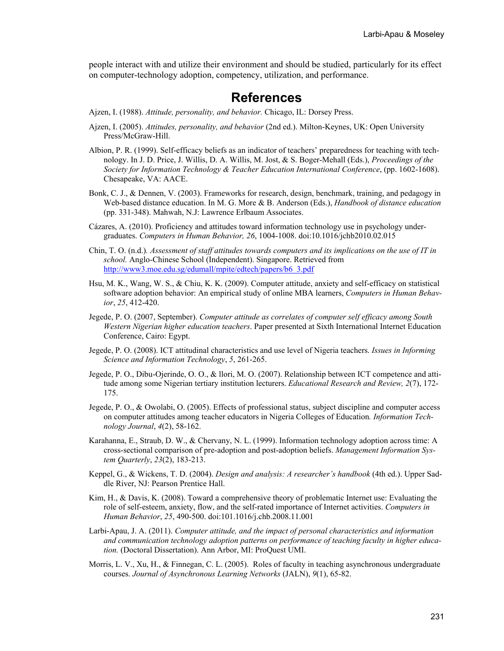people interact with and utilize their environment and should be studied, particularly for its effect on computer-technology adoption, competency, utilization, and performance.

### **References**

Ajzen, I. (1988). *Attitude, personality, and behavior.* Chicago, IL: Dorsey Press.

- Ajzen, I. (2005). *Attitudes, personality, and behavior* (2nd ed.). Milton-Keynes, UK: Open University Press/McGraw-Hill.
- Albion, P. R. (1999). Self-efficacy beliefs as an indicator of teachers' preparedness for teaching with technology. In J. D. Price, J. Willis, D. A. Willis, M. Jost, & S. Boger-Mehall (Eds.), *Proceedings of the Society for Information Technology & Teacher Education International Conference*, (pp. 1602-1608). Chesapeake, VA: AACE.
- Bonk, C. J., & Dennen, V. (2003). Frameworks for research, design, benchmark, training, and pedagogy in Web-based distance education. In M. G. More & B. Anderson (Eds.), *Handbook of distance education* (pp. 331-348). Mahwah, N.J: Lawrence Erlbaum Associates.
- Cázares, A. (2010). Proficiency and attitudes toward information technology use in psychology undergraduates. *Computers in Human Behavior, 26*, 1004-1008. doi:10.1016/jchb2010.02.015
- Chin, T. O. (n.d.)*. Assessment of staff attitudes towards computers and its implications on the use of IT in school.* Anglo-Chinese School (Independent). Singapore. Retrieved from [http://www3.moe.edu.sg/edumall/mpite/edtech/papers/b6\\_3.pdf](http://www3.moe.edu.sg/edumall/mpite/edtech/papers/b6_3.pdf)
- Hsu, M. K., Wang, W. S., & Chiu, K. K. (2009). Computer attitude, anxiety and self-efficacy on statistical software adoption behavior: An empirical study of online MBA learners, *Computers in Human Behavior*, *25*, 412-420.
- Jegede, P. O. (2007, September). *Computer attitude as correlates of computer self efficacy among South Western Nigerian higher education teachers*. Paper presented at Sixth International Internet Education Conference, Cairo: Egypt.
- Jegede, P. O. (2008). ICT attitudinal characteristics and use level of Nigeria teachers. *Issues in Informing Science and Information Technology*, *5*, 261-265.
- Jegede, P. O., Dibu-Ojerinde, O. O., & llori, M. O. (2007). Relationship between ICT competence and attitude among some Nigerian tertiary institution lecturers. *Educational Research and Review, 2*(7), 172- 175.
- Jegede, P. O., & Owolabi, O. (2005). Effects of professional status, subject discipline and computer access on computer attitudes among teacher educators in Nigeria Colleges of Education*. Information Technology Journal*, *4*(2), 58-162.
- Karahanna, E., Straub, D. W., & Chervany, N. L. (1999). Information technology adoption across time: A cross-sectional comparison of pre-adoption and post-adoption beliefs. *Management Information System Quarterly*, *23*(2), 183-213.
- Keppel, G., & Wickens, T. D. (2004). *Design and analysis: A researcher's handbook* (4th ed.). Upper Saddle River, NJ: Pearson Prentice Hall.
- Kim, H., & Davis, K. (2008). Toward a comprehensive theory of problematic Internet use: Evaluating the role of self-esteem, anxiety, flow, and the self-rated importance of Internet activities. *Computers in Human Behavior*, *25*, 490-500. doi:101.1016/j.chb.2008.11.001
- Larbi-Apau, J. A. (2011). *Computer attitude, and the impact of personal characteristics and information and communication technology adoption patterns on performance of teaching faculty in higher education.* (Doctoral Dissertation). Ann Arbor, MI: ProQuest UMI.
- Morris, L. V., Xu, H., & Finnegan, C. L. (2005). Roles of faculty in teaching asynchronous undergraduate courses. *Journal of Asynchronous Learning Networks* (JALN), *9*(1), 65-82.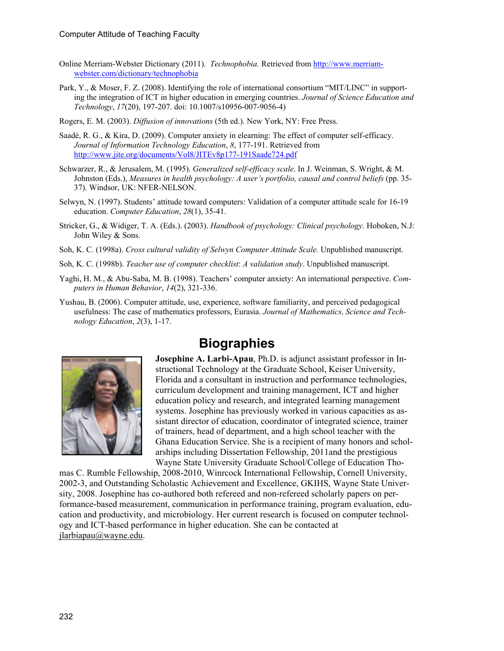- Online Merriam-Webster Dictionary (2011). *Technophobia.* Retrieved from [http://www.merriam](http://www.merriam-webster.com/dictionary/technophobia)[webster.com/dictionary/technophobia](http://www.merriam-webster.com/dictionary/technophobia)
- Park, Y., & Moser, F. Z. (2008). Identifying the role of international consortium "MIT/LINC" in supporting the integration of ICT in higher education in emerging countries. *Journal of Science Education and Technology*, *17*(20), 197-207. doi: 10.1007/s10956-007-9056-4)
- Rogers, E. M. (2003). *Diffusion of innovations* (5th ed.). New York, NY: Free Press.
- Saadé, R. G., & Kira, D. (2009). Computer anxiety in elearning: The effect of computer self-efficacy. *Journal of Information Technology Education*, *8*, 177-191. Retrieved from <http://www.jite.org/documents/Vol8/JITEv8p177-191Saade724.pdf>
- Schwarzer, R., & Jerusalem, M. (1995). *Generalized self-efficacy scale*. In J. Weinman, S. Wright, & M. Johnston (Eds.), *Measures in health psychology: A user's portfolio, causal and control beliefs* (pp. 35- 37). Windsor, UK: NFER-NELSON.
- Selwyn, N. (1997). Students' attitude toward computers: Validation of a computer attitude scale for 16-19 education. *Computer Education*, *28*(1), 35-41.
- Stricker, G., & Widiger, T. A. (Eds.). (2003). *Handbook of psychology: Clinical psychology.* Hoboken, N.J: John Wiley & Sons.
- Soh, K. C. (1998a). *Cross cultural validity of Selwyn Computer Attitude Scale.* Unpublished manuscript.
- Soh, K. C. (1998b). *Teacher use of computer checklist*: *A validation study*. Unpublished manuscript.
- Yaghi, H. M., & Abu-Saba, M. B. (1998). Teachers' computer anxiety: An international perspective. *Computers in Human Behavior*, *14*(2), 321-336.
- Yushau, B. (2006). Computer attitude, use, experience, software familiarity, and perceived pedagogical usefulness: The case of mathematics professors, Eurasia. *Journal of Mathematics, Science and Technology Education*, *2*(3), 1-17.



### **Biographies**

**Josephine A. Larbi-Apau**, Ph.D. is adjunct assistant professor in Instructional Technology at the Graduate School, Keiser University, Florida and a consultant in instruction and performance technologies, curriculum development and training management, ICT and higher education policy and research, and integrated learning management systems. Josephine has previously worked in various capacities as assistant director of education, coordinator of integrated science, trainer of trainers, head of department, and a high school teacher with the Ghana Education Service. She is a recipient of many honors and schol arships including Dissertation Fellowship, 2011and the prestigious Wayne State University Graduate School/College of Education Tho-

mas C. Rumble Fellowship, 2008-2010, Winrcock International Fellowship, Cornell University, 2002-3, and Outstanding Scholastic Achievement and Excellence, GKIHS, Wayne State University, 2008. Josephine has co-authored both refereed and non-refereed scholarly papers on performance-based measurement, communication in performance training, program evaluation, education and productivity, and microbiology. Her current research is focused on computer technol ogy and ICT-based performance in higher education. She can be contacted at jlarbiapau@wayne.edu.